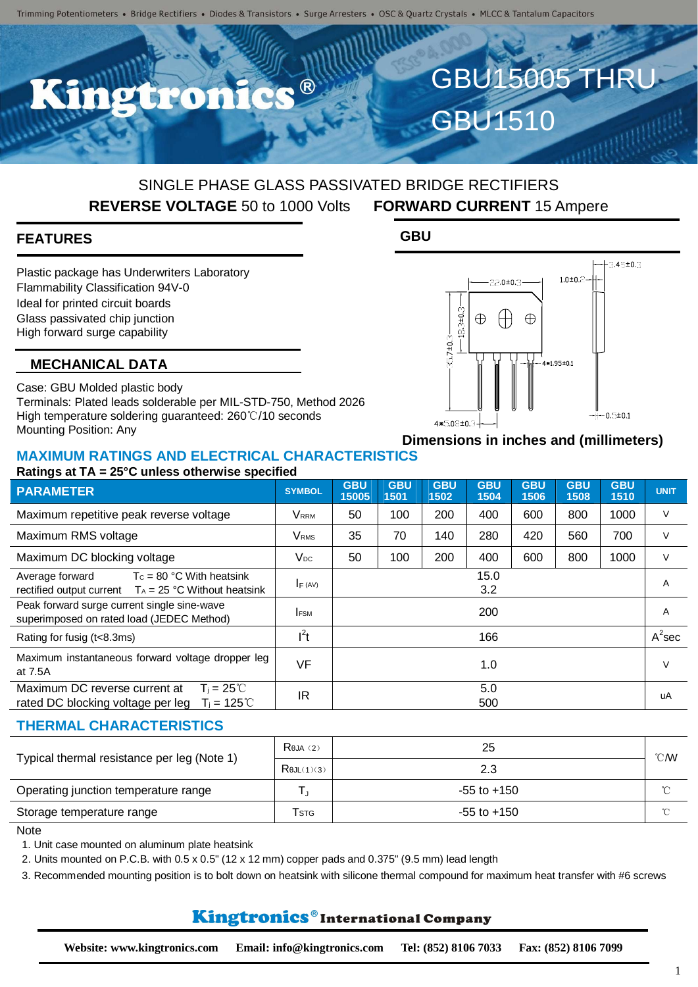$\bullet$   $\circledR$ 

# SINGLE PHASE GLASS PASSIVATED BRIDGE RECTIFIERS **REVERSE VOLTAGE** 50 to 1000 Volts **FORWARD CURRENT** 15 Ampere

**GBU**

#### **FEATURES**

Plastic package has Underwriters Laboratory Flammability Classification 94V-0 Ideal for printed circuit boards Glass passivated chip junction High forward surge capability

#### **MECHANICAL DATA**

Case: GBU Molded plastic body Terminals: Plated leads solderable per MIL-STD-750, Method 2026 High temperature soldering guaranteed: 260℃/10 seconds Mounting Position: Any

#### **Dimensions in inches and (millimeters)**

GBU15005 THRU

 $3.45 \pm 0.3$ 

 $0.5 \pm 0.1$ 

 $1.0 + 0.2$ 

.<br>4\*1.95±0.1

GBU1510

22.0±0.3

 $\bigoplus$ 

 $\oplus$ 

 $8.3 \pm 0.1$ 

 $5.7 \pm 0.0$ 

4\*5.08±0.3

 $\oplus$ 

#### **MAXIMUM RATINGS AND ELECTRICAL CHARACTERISTICS Ratings at TA = 25°C unless otherwise specified**

| <b>PARAMETER</b>                                                                                                 | <b>SYMBOL</b>           | <b>GBU</b><br>15005 | <b>GBU</b><br>1501 | <b>GBU</b><br>1502 | <b>GBU</b><br>1504 | <b>GBU</b><br>1506 | <b>GBU</b><br>1508 | <b>GBU</b><br>1510 | <b>UNIT</b> |
|------------------------------------------------------------------------------------------------------------------|-------------------------|---------------------|--------------------|--------------------|--------------------|--------------------|--------------------|--------------------|-------------|
| Maximum repetitive peak reverse voltage                                                                          | <b>VRRM</b>             | 50                  | 100                | 200                | 400                | 600                | 800                | 1000               | V           |
| Maximum RMS voltage                                                                                              | <b>V</b> <sub>RMS</sub> | 35                  | 70                 | 140                | 280                | 420                | 560                | 700                | $\vee$      |
| Maximum DC blocking voltage                                                                                      | Vpc                     | 50                  | 100                | 200                | 400                | 600                | 800                | 1000               | V           |
| Average forward<br>$T_c = 80$ °C With heatsink<br>rectified output current $T_A = 25 °C$ Without heatsink        | $I_F (AV)$              | 15.0<br>3.2         |                    |                    |                    |                    |                    | A                  |             |
| Peak forward surge current single sine-wave<br>superimposed on rated load (JEDEC Method)                         | <b>IFSM</b>             | 200                 |                    |                    |                    |                    |                    | A                  |             |
| Rating for fusig (t<8.3ms)                                                                                       | $l^2t$                  |                     |                    |                    | 166                |                    |                    |                    | $A^2$ sec   |
| Maximum instantaneous forward voltage dropper leg<br>at 7.5A                                                     | VF                      |                     |                    |                    | 1.0                |                    |                    |                    | V           |
| Maximum DC reverse current at<br>$T_i = 25^{\circ}$<br>$T_i = 125^{\circ}C$<br>rated DC blocking voltage per leg | IR                      |                     |                    |                    | 5.0<br>500         |                    |                    |                    | uA          |

#### **THERMAL CHARACTERISTICS**

| Typical thermal resistance per leg (Note 1) | $R$ eja $(2)$            | 25              | $^{\circ}$ CMV |
|---------------------------------------------|--------------------------|-----------------|----------------|
|                                             | $R$ $\theta$ JL $(1)(3)$ | 2.3             |                |
| Operating junction temperature range        |                          | $-55$ to $+150$ | $\sim$         |
| Storage temperature range                   | <b>T</b> stg             | $-55$ to $+150$ | $\sim$         |

**Note** 

1. Unit case mounted on aluminum plate heatsink

2. Units mounted on P.C.B. with 0.5 x 0.5" (12 x 12 mm) copper pads and 0.375" (9.5 mm) lead length

3. Recommended mounting position is to bolt down on heatsink with silicone thermal compound for maximum heat transfer with #6 screws

# Kingtronics®International Company